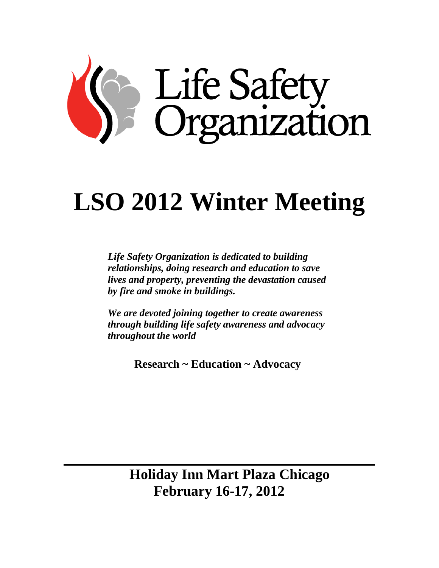

# **LSO 2012 Winter Meeting**

*Life Safety Organization is dedicated to building relationships, doing research and education to save lives and property, preventing the devastation caused by fire and smoke in buildings.*

*We are devoted joining together to create awareness through building life safety awareness and advocacy throughout the world*

**Research ~ Education ~ Advocacy**

 **Holiday Inn Mart Plaza Chicago February 16-17, 2012**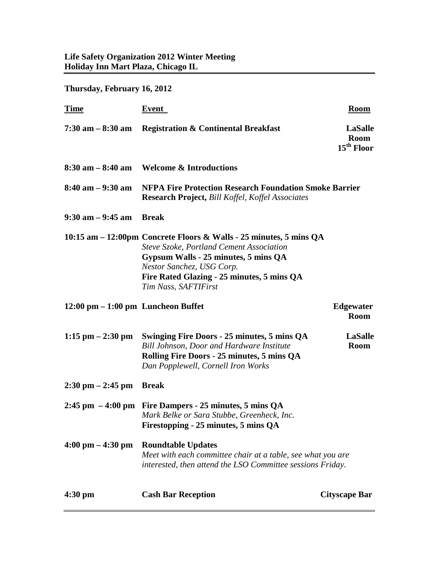**Thursday, February 16, 2012**

| <b>Time</b>                                          | Event                                                                                                                                                                                                                                                     | <b>Room</b>                                             |
|------------------------------------------------------|-----------------------------------------------------------------------------------------------------------------------------------------------------------------------------------------------------------------------------------------------------------|---------------------------------------------------------|
| $7:30$ am $-8:30$ am                                 | <b>Registration &amp; Continental Breakfast</b>                                                                                                                                                                                                           | <b>LaSalle</b><br><b>Room</b><br>15 <sup>th</sup> Floor |
| $8:30$ am $-8:40$ am                                 | <b>Welcome &amp; Introductions</b>                                                                                                                                                                                                                        |                                                         |
| $8:40$ am $-9:30$ am                                 | <b>NFPA Fire Protection Research Foundation Smoke Barrier</b><br><b>Research Project, Bill Koffel, Koffel Associates</b>                                                                                                                                  |                                                         |
| $9:30$ am $-9:45$ am                                 | <b>Break</b>                                                                                                                                                                                                                                              |                                                         |
|                                                      | 10:15 am – 12:00pm Concrete Floors & Walls - 25 minutes, 5 mins QA<br>Steve Szoke, Portland Cement Association<br>Gypsum Walls - 25 minutes, 5 mins QA<br>Nestor Sanchez, USG Corp.<br>Fire Rated Glazing - 25 minutes, 5 mins QA<br>Tim Nass, SAFTIFirst |                                                         |
| $12:00 \text{ pm} - 1:00 \text{ pm}$ Luncheon Buffet |                                                                                                                                                                                                                                                           | <b>Edgewater</b><br><b>Room</b>                         |
| 1:15 pm $- 2:30$ pm                                  | Swinging Fire Doors - 25 minutes, 5 mins QA<br><b>Bill Johnson, Door and Hardware Institute</b><br>Rolling Fire Doors - 25 minutes, 5 mins QA<br>Dan Popplewell, Cornell Iron Works                                                                       | <b>LaSalle</b><br><b>Room</b>                           |
| $2:30 \text{ pm} - 2:45 \text{ pm}$                  | <b>Break</b>                                                                                                                                                                                                                                              |                                                         |
|                                                      | 2:45 pm $-4:00$ pm Fire Dampers - 25 minutes, 5 mins QA<br>Mark Belke or Sara Stubbe, Greenheck, Inc.<br>Firestopping - 25 minutes, 5 mins QA                                                                                                             |                                                         |
| $4:00 \text{ pm} - 4:30 \text{ pm}$                  | <b>Roundtable Updates</b><br>Meet with each committee chair at a table, see what you are<br>interested, then attend the LSO Committee sessions Friday.                                                                                                    |                                                         |
| $4:30 \text{ pm}$                                    | <b>Cash Bar Reception</b>                                                                                                                                                                                                                                 | <b>Cityscape Bar</b>                                    |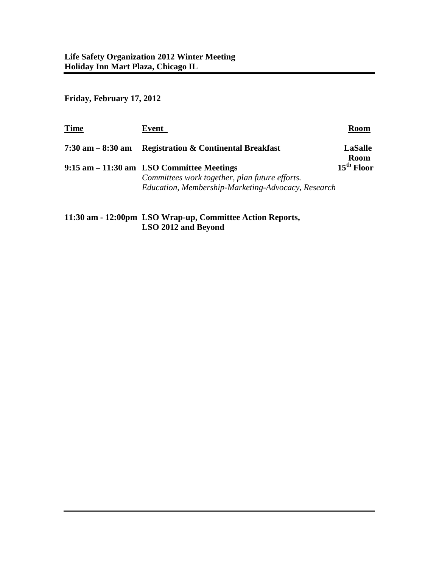**Friday, February 17, 2012**

| Time              | Event                                                                                                                                             | <b>Room</b>                   |
|-------------------|---------------------------------------------------------------------------------------------------------------------------------------------------|-------------------------------|
| 7:30 am – 8:30 am | <b>Registration &amp; Continental Breakfast</b>                                                                                                   | <b>LaSalle</b><br><b>Room</b> |
|                   | 9:15 am – 11:30 am LSO Committee Meetings<br>Committees work together, plan future efforts.<br>Education, Membership-Marketing-Advocacy, Research | 15 <sup>th</sup> Floor        |
|                   |                                                                                                                                                   |                               |

**11:30 am - 12:00pm LSO Wrap-up, Committee Action Reports, LSO 2012 and Beyond**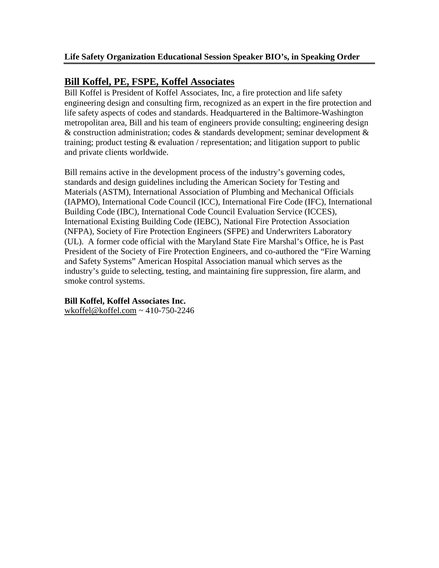# **Bill Koffel, PE, FSPE, Koffel Associates**

Bill Koffel is President of Koffel Associates, Inc, a fire protection and life safety engineering design and consulting firm, recognized as an expert in the fire protection and life safety aspects of codes and standards. Headquartered in the Baltimore-Washington metropolitan area, Bill and his team of engineers provide consulting; engineering design & construction administration; codes & standards development; seminar development & training; product testing  $&$  evaluation / representation; and litigation support to public and private clients worldwide.

Bill remains active in the development process of the industry's governing codes, standards and design guidelines including the American Society for Testing and Materials (ASTM), International Association of Plumbing and Mechanical Officials (IAPMO), International Code Council (ICC), International Fire Code (IFC), International Building Code (IBC), International Code Council Evaluation Service (ICCES), International Existing Building Code (IEBC), National Fire Protection Association (NFPA), Society of Fire Protection Engineers (SFPE) and Underwriters Laboratory (UL). A former code official with the Maryland State Fire Marshal's Office, he is Past President of the Society of Fire Protection Engineers, and co-authored the "Fire Warning and Safety Systems" American Hospital Association manual which serves as the industry's guide to selecting, testing, and maintaining fire suppression, fire alarm, and smoke control systems.

#### **Bill Koffel, Koffel Associates Inc.**

[wkoffel@koffel.com](mailto:wkoffel@koffel.com) ~ 410-750-2246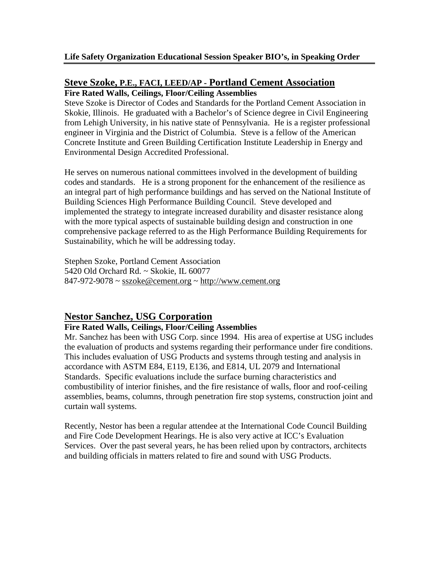#### **Steve Szoke, P.E., FACI, LEED/AP - Portland Cement Association Fire Rated Walls, Ceilings, Floor/Ceiling Assemblies**

Steve Szoke is Director of Codes and Standards for the Portland Cement Association in Skokie, Illinois. He graduated with a Bachelor's of Science degree in Civil Engineering from Lehigh University, in his native state of Pennsylvania. He is a register professional engineer in Virginia and the District of Columbia. Steve is a fellow of the American Concrete Institute and Green Building Certification Institute Leadership in Energy and

He serves on numerous national committees involved in the development of building codes and standards. He is a strong proponent for the enhancement of the resilience as an integral part of high performance buildings and has served on the National Institute of Building Sciences High Performance Building Council. Steve developed and implemented the strategy to integrate increased durability and disaster resistance along with the more typical aspects of sustainable building design and construction in one comprehensive package referred to as the High Performance Building Requirements for Sustainability, which he will be addressing today.

Stephen Szoke, Portland Cement Association 5420 Old Orchard Rd. ~ Skokie, IL 60077  $847-972-9078 \sim$  [sszoke@cement.org](mailto:sszoke@cement.org)  $\sim$  [http://www.cement.org](http://www.cement.org/)

# **Nestor Sanchez, USG Corporation**

Environmental Design Accredited Professional.

## **Fire Rated Walls, Ceilings, Floor/Ceiling Assemblies**

Mr. Sanchez has been with USG Corp. since 1994. His area of expertise at USG includes the evaluation of products and systems regarding their performance under fire conditions. This includes evaluation of USG Products and systems through testing and analysis in accordance with ASTM E84, E119, E136, and E814, UL 2079 and International Standards. Specific evaluations include the surface burning characteristics and combustibility of interior finishes, and the fire resistance of walls, floor and roof-ceiling assemblies, beams, columns, through penetration fire stop systems, construction joint and curtain wall systems.

Recently, Nestor has been a regular attendee at the International Code Council Building and Fire Code Development Hearings. He is also very active at ICC's Evaluation Services. Over the past several years, he has been relied upon by contractors, architects and building officials in matters related to fire and sound with USG Products.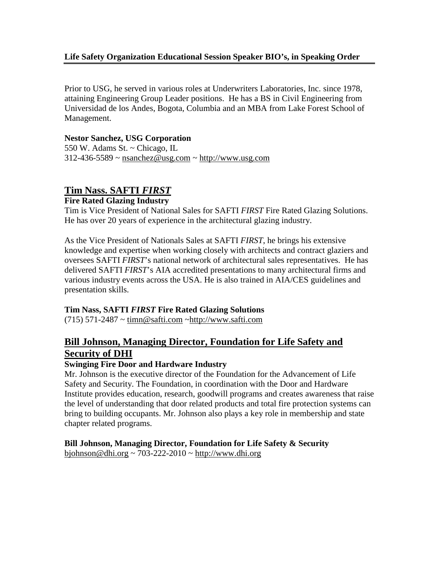#### **Life Safety Organization Educational Session Speaker BIO's, in Speaking Order**

Prior to USG, he served in various roles at Underwriters Laboratories, Inc. since 1978, attaining Engineering Group Leader positions. He has a BS in Civil Engineering from Universidad de los Andes, Bogota, Columbia and an MBA from Lake Forest School of Management.

#### **Nestor Sanchez, USG Corporation**

550 W. Adams St. ~ Chicago, IL  $312-436-5589$  ~ [nsanchez@usg.com](mailto:nsanchez@usg.com) ~ [http://www.usg.com](http://www.usg.com/)

# **Tim Nass. SAFTI** *FIRST*

#### **Fire Rated Glazing Industry**

Tim is Vice President of National Sales for SAFTI *FIRST* Fire Rated Glazing Solutions. He has over 20 years of experience in the architectural glazing industry.

As the Vice President of Nationals Sales at SAFTI *FIRST*, he brings his extensive knowledge and expertise when working closely with architects and contract glaziers and oversees SAFTI *FIRST*'s national network of architectural sales representatives. He has delivered SAFTI *FIRST*'s AIA accredited presentations to many architectural firms and various industry events across the USA. He is also trained in AIA/CES guidelines and presentation skills.

#### **Tim Nass, SAFTI** *FIRST* **Fire Rated Glazing Solutions**

 $(715)$  571-2487 ~ [timn@safti.com](mailto:timn@safti.com) ~http://www.safti.com

# **Bill Johnson, Managing Director, Foundation for Life Safety and Security of DHI**

#### **Swinging Fire Door and Hardware Industry**

Mr. Johnson is the executive director of the Foundation for the Advancement of Life Safety and Security. The Foundation, in coordination with the Door and Hardware Institute provides education, research, goodwill programs and creates awareness that raise the level of understanding that door related products and total fire protection systems can bring to building occupants. Mr. Johnson also plays a key role in membership and state chapter related programs.

**Bill Johnson, Managing Director, Foundation for Life Safety & Security**  $b$ johnson@dhi.org ~ 703-222-2010 ~ [http://www.dhi.org](http://www.dhi.org/)